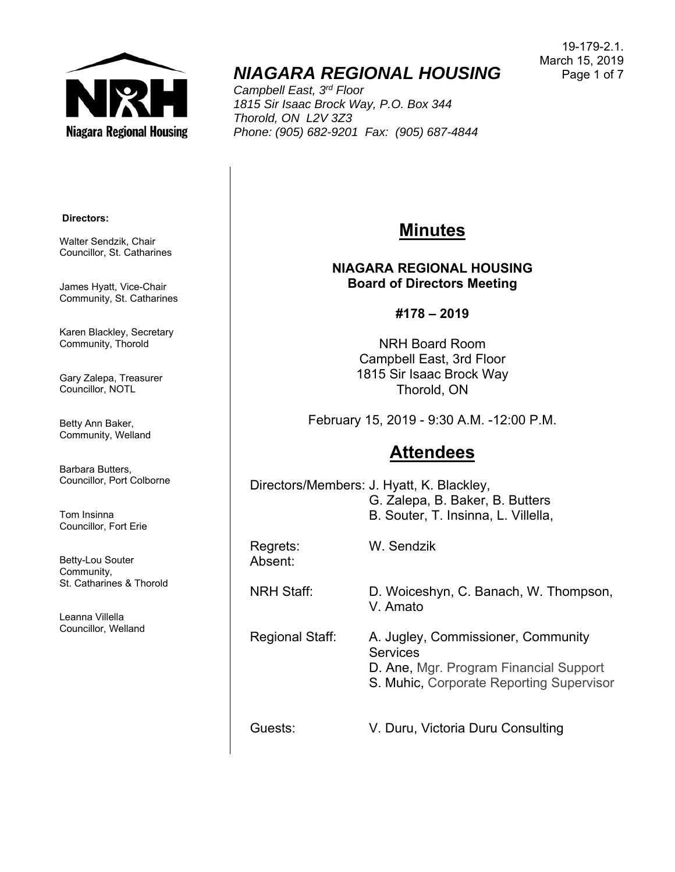

# *NIAGARA REGIONAL HOUSING*

*Campbell East, 3rd Floor 1815 Sir Isaac Brock Way, P.O. Box 344 Thorold, ON L2V 3Z3 Phone: (905) 682-9201 Fax: (905) 687-4844* 

19-179-2.1. March 15, 2019 Page 1 of 7

#### **Directors:**

Walter Sendzik, Chair Councillor, St. Catharines

James Hyatt, Vice-Chair Community, St. Catharines

Karen Blackley, Secretary Community, Thorold

Gary Zalepa, Treasurer Councillor, NOTL

Betty Ann Baker, Community, Welland

Barbara Butters, Councillor, Port Colborne

Tom Insinna Councillor, Fort Erie

Betty-Lou Souter Community, St. Catharines & Thorold

Leanna Villella Councillor, Welland

## **Minutes**

#### **NIAGARA REGIONAL HOUSING Board of Directors Meeting**

**#178 – 2019** 

NRH Board Room Campbell East, 3rd Floor 1815 Sir Isaac Brock Way Thorold, ON

February 15, 2019 - 9:30 A.M. -12:00 P.M.

## **Attendees**

Directors/Members: J. Hyatt, K. Blackley, G. Zalepa, B. Baker, B. Butters B. Souter, T. Insinna, L. Villella,

Absent:

Regrets: W. Sendzik

NRH Staff: D. Woiceshyn, C. Banach, W. Thompson, V. Amato

Regional Staff: A. Jugley, Commissioner, Community **Services** D. Ane, Mgr. Program Financial Support S. Muhic, Corporate Reporting Supervisor

Guests: V. Duru, Victoria Duru Consulting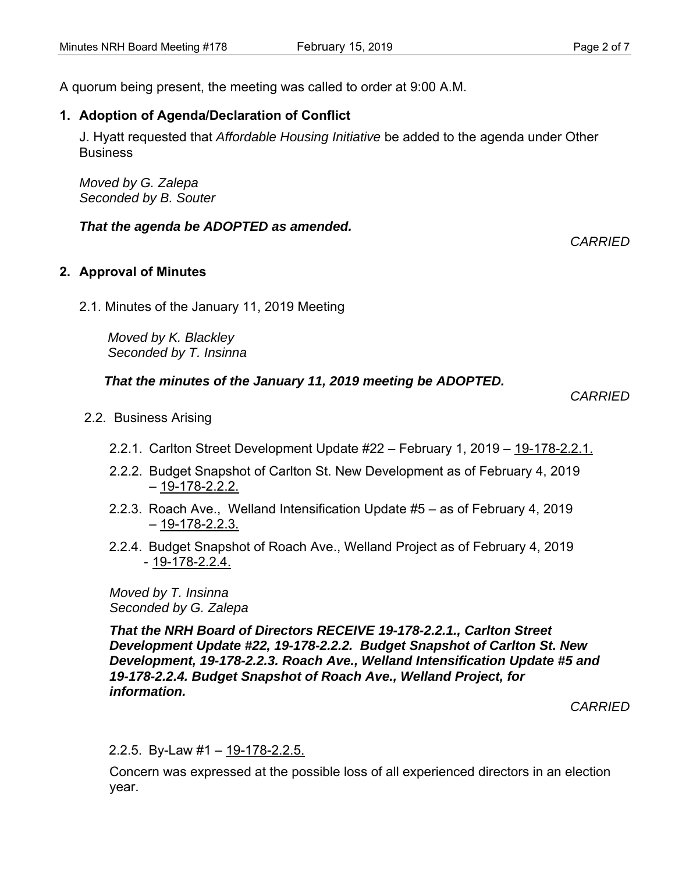A quorum being present, the meeting was called to order at 9:00 A.M.

### **1. Adoption of Agenda/Declaration of Conflict**

J. Hyatt requested that *Affordable Housing Initiative* be added to the agenda under Other **Business** 

*Moved by G. Zalepa Seconded by B. Souter*

#### *That the agenda be ADOPTED as amended.*

#### **2. Approval of Minutes**

2.1. Minutes of the January 11, 2019 Meeting

 *Moved by K. Blackley Seconded by T. Insinna*

#### *That the minutes of the January 11, 2019 meeting be ADOPTED.*

 *CARRIED* 

*CARRIED* 

- 2.2. Business Arising
	- 2.2.1. Carlton Street Development Update #22 February 1, 2019 19-178-2.2.1.
	- 2.2.2. Budget Snapshot of Carlton St. New Development as of February 4, 2019  $-19-178-2.2.2$
	- 2.2.3. Roach Ave., Welland Intensification Update #5 as of February 4, 2019 – 19-178-2.2.3.
	- 2.2.4. Budget Snapshot of Roach Ave., Welland Project as of February 4, 2019 - 19-178-2.2.4.

*Moved by T. Insinna Seconded by G. Zalepa* 

*That the NRH Board of Directors RECEIVE 19-178-2.2.1., Carlton Street Development Update #22, 19-178-2.2.2. Budget Snapshot of Carlton St. New Development, 19-178-2.2.3. Roach Ave., Welland Intensification Update #5 and 19-178-2.2.4. Budget Snapshot of Roach Ave., Welland Project, for information.* 

*CARRIED* 

#### 2.2.5. By-Law #1 – 19-178-2.2.5.

Concern was expressed at the possible loss of all experienced directors in an election year.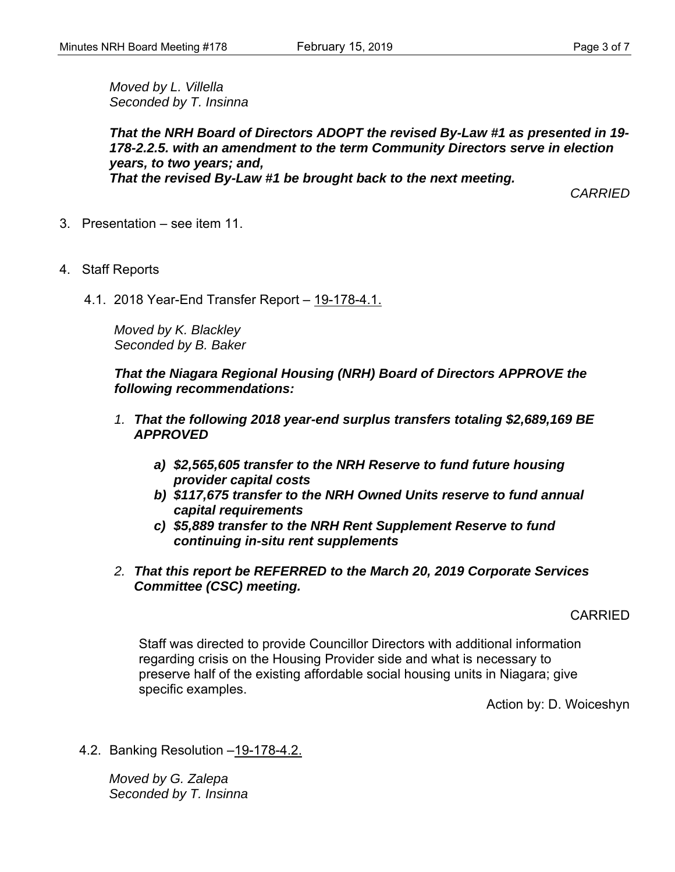*Moved by L. Villella Seconded by T. Insinna* 

*That the NRH Board of Directors ADOPT the revised By-Law #1 as presented in 19- 178-2.2.5. with an amendment to the term Community Directors serve in election years, to two years; and, That the revised By-Law #1 be brought back to the next meeting.* 

*CARRIED* 

- 3. Presentation see item 11.
- 4. Staff Reports
	- 4.1. 2018 Year-End Transfer Report 19-178-4.1.

*Moved by K. Blackley Seconded by B. Baker* 

*That the Niagara Regional Housing (NRH) Board of Directors APPROVE the following recommendations:* 

- *1. That the following 2018 year-end surplus transfers totaling \$2,689,169 BE APPROVED* 
	- *a) \$2,565,605 transfer to the NRH Reserve to fund future housing provider capital costs*
	- *b) \$117,675 transfer to the NRH Owned Units reserve to fund annual capital requirements*
	- *c) \$5,889 transfer to the NRH Rent Supplement Reserve to fund continuing in-situ rent supplements*
- *2. That this report be REFERRED to the March 20, 2019 Corporate Services Committee (CSC) meeting.*

#### CARRIED

Staff was directed to provide Councillor Directors with additional information regarding crisis on the Housing Provider side and what is necessary to preserve half of the existing affordable social housing units in Niagara; give specific examples.

Action by: D. Woiceshyn

4.2. Banking Resolution –19-178-4.2.

*Moved by G. Zalepa Seconded by T. Insinna*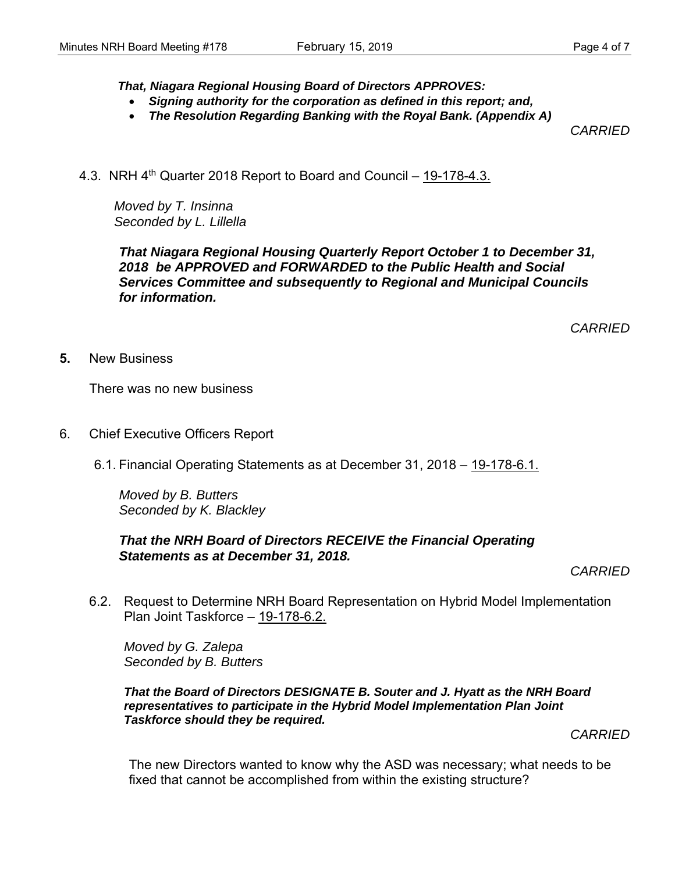*That, Niagara Regional Housing Board of Directors APPROVES:* 

- *Signing authority for the corporation as defined in this report; and,*
- *The Resolution Regarding Banking with the Royal Bank. (Appendix A)*

*CARRIED* 

4.3. NRH 4<sup>th</sup> Quarter 2018 Report to Board and Council – 19-178-4.3.

*Moved by T. Insinna Seconded by L. Lillella* 

*That Niagara Regional Housing Quarterly Report October 1 to December 31, 2018 be APPROVED and FORWARDED to the Public Health and Social Services Committee and subsequently to Regional and Municipal Councils for information.* 

*CARRIED* 

**5.** New Business

There was no new business

- 6. Chief Executive Officers Report
	- 6.1. Financial Operating Statements as at December 31, 2018 19-178-6.1.

*Moved by B. Butters Seconded by K. Blackley*

#### *That the NRH Board of Directors RECEIVE the Financial Operating Statements as at December 31, 2018.*

*CARRIED* 

6.2. Request to Determine NRH Board Representation on Hybrid Model Implementation Plan Joint Taskforce – 19-178-6.2.

*Moved by G. Zalepa Seconded by B. Butters* 

*That the Board of Directors DESIGNATE B. Souter and J. Hyatt as the NRH Board representatives to participate in the Hybrid Model Implementation Plan Joint Taskforce should they be required.* 

*CARRIED* 

The new Directors wanted to know why the ASD was necessary; what needs to be fixed that cannot be accomplished from within the existing structure?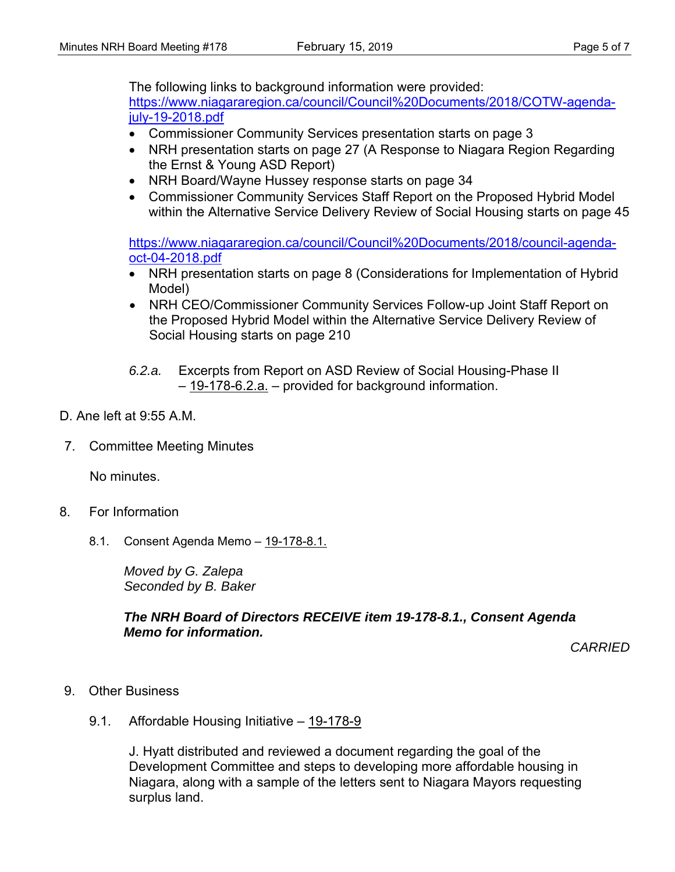The following links to background information were provided:

https://www.niagararegion.ca/council/Council%20Documents/2018/COTW-agendajuly-19-2018.pdf

- Commissioner Community Services presentation starts on page 3
- NRH presentation starts on page 27 (A Response to Niagara Region Regarding the Ernst & Young ASD Report)
- NRH Board/Wayne Hussey response starts on page 34
- Commissioner Community Services Staff Report on the Proposed Hybrid Model within the Alternative Service Delivery Review of Social Housing starts on page 45

https://www.niagararegion.ca/council/Council%20Documents/2018/council-agendaoct-04-2018.pdf

- NRH presentation starts on page 8 (Considerations for Implementation of Hybrid Model)
- NRH CEO/Commissioner Community Services Follow-up Joint Staff Report on the Proposed Hybrid Model within the Alternative Service Delivery Review of Social Housing starts on page 210
- *6.2.a.* Excerpts from Report on ASD Review of Social Housing-Phase II – 19-178-6.2.a. – provided for background information.
- D. Ane left at  $9:55$  A M.
- 7. Committee Meeting Minutes

No minutes.

- 8. For Information
	- 8.1. Consent Agenda Memo 19-178-8.1.

*Moved by G. Zalepa Seconded by B. Baker* 

*The NRH Board of Directors RECEIVE item 19-178-8.1., Consent Agenda Memo for information.* 

*CARRIED* 

- 9. Other Business
	- 9.1. Affordable Housing Initiative 19-178-9

J. Hyatt distributed and reviewed a document regarding the goal of the Development Committee and steps to developing more affordable housing in Niagara, along with a sample of the letters sent to Niagara Mayors requesting surplus land.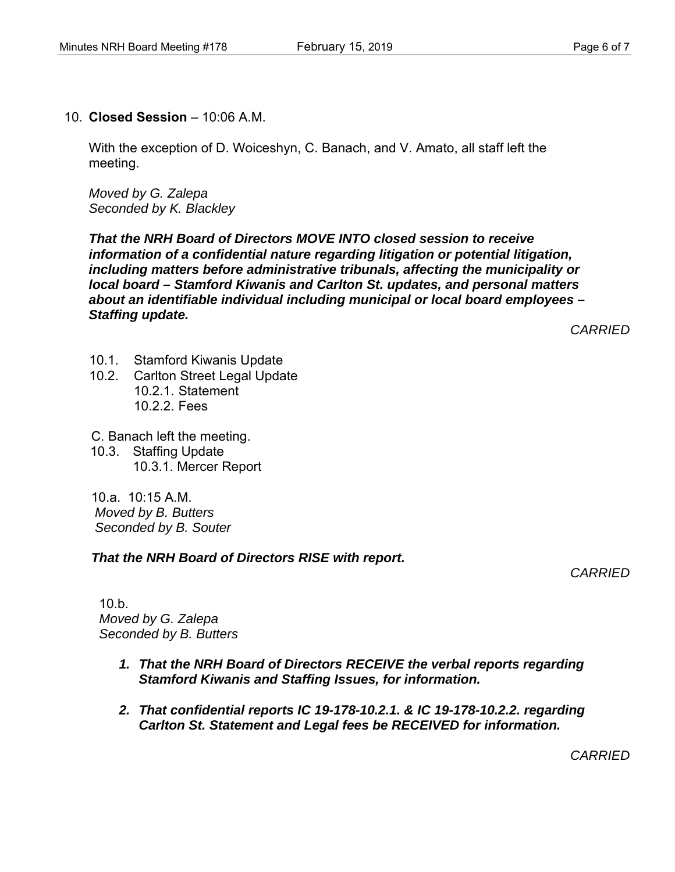10. **Closed Session** – 10:06 A.M.

With the exception of D. Woiceshyn, C. Banach, and V. Amato, all staff left the meeting.

*Moved by G. Zalepa Seconded by K. Blackley* 

*That the NRH Board of Directors MOVE INTO closed session to receive information of a confidential nature regarding litigation or potential litigation, including matters before administrative tribunals, affecting the municipality or local board – Stamford Kiwanis and Carlton St. updates, and personal matters about an identifiable individual including municipal or local board employees – Staffing update.* 

*CARRIED* 

- 10.1. Stamford Kiwanis Update
- 10.2. Carlton Street Legal Update 10.2.1. Statement 10.2.2. Fees
- C. Banach left the meeting.
- 10.3. Staffing Update 10.3.1. Mercer Report

10.a. 10:15 A.M.  *Moved by B. Butters Seconded by B. Souter* 

*That the NRH Board of Directors RISE with report.* 

*CARRIED* 

10.b. *Moved by G. Zalepa Seconded by B. Butters* 

- *1. That the NRH Board of Directors RECEIVE the verbal reports regarding Stamford Kiwanis and Staffing Issues, for information.*
- *2. That confidential reports IC 19-178-10.2.1. & IC 19-178-10.2.2. regarding Carlton St. Statement and Legal fees be RECEIVED for information.*

*CARRIED*